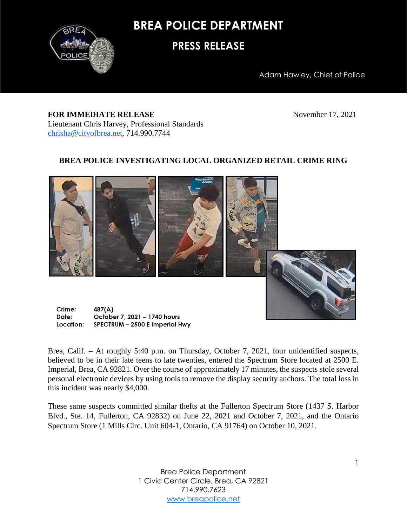

**BREA POLICE DEPARTMENT**

## **PRESS RELEASE**

Adam Hawley, Chief of Police

## **FOR IMMEDIATE RELEASE** November 17, 2021 Lieutenant Chris Harvey, Professional Standards [chrisha@cityofbrea.net,](mailto:chrisha@cityofbrea.net) 714.990.7744

## **BREA POLICE INVESTIGATING LOCAL ORGANIZED RETAIL CRIME RING**



Crime:  $487(A)$ Date: October 7, 2021 - 1740 hours Location: SPECTRUM - 2500 E Imperial Hwy

Brea, Calif. – At roughly 5:40 p.m. on Thursday, October 7, 2021, four unidentified suspects, believed to be in their late teens to late twenties, entered the Spectrum Store located at 2500 E. Imperial, Brea, CA 92821. Over the course of approximately 17 minutes, the suspects stole several personal electronic devices by using tools to remove the display security anchors. The total loss in this incident was nearly \$4,000.

These same suspects committed similar thefts at the Fullerton Spectrum Store (1437 S. Harbor Blvd., Ste. 14, Fullerton, CA 92832) on June 22, 2021 and October 7, 2021, and the Ontario Spectrum Store (1 Mills Circ. Unit 604-1, Ontario, CA 91764) on October 10, 2021.

> Brea Police Department 1 Civic Center Circle, Brea, CA 92821 714.990.7623 [www.breapolice.net](http://www.breapolice.net/)